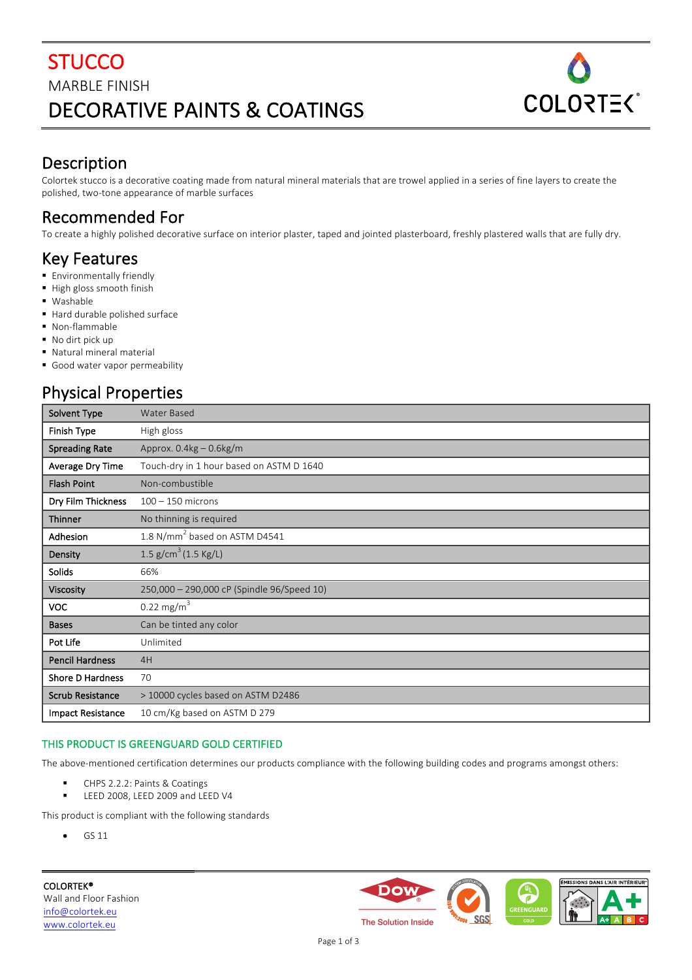# **STUCCO MARBLE FINISH** DECORATIVE PAINTS & COATINGS



### Description

Colortek stucco is a decorative coating made from natural mineral materials that are trowel applied in a series of fine layers to create the polished, two-tone appearance of marble surfaces

# Recommended For

To create a highly polished decorative surface on interior plaster, taped and jointed plasterboard, freshly plastered walls that are fully dry.

### Key Features

- **Environmentally friendly**
- High gloss smooth finish
- § Washable
- Hard durable polished surface
- § Non-flammable
- No dirt pick up
- Natural mineral material
- Good water vapor permeability

### Physical Properties

| Solvent Type             | <b>Water Based</b>                         |
|--------------------------|--------------------------------------------|
| Finish Type              | High gloss                                 |
| <b>Spreading Rate</b>    | Approx. $0.4$ kg $-0.6$ kg/m               |
| Average Dry Time         | Touch-dry in 1 hour based on ASTM D 1640   |
| <b>Flash Point</b>       | Non-combustible                            |
| Dry Film Thickness       | $100 - 150$ microns                        |
| Thinner                  | No thinning is required                    |
| Adhesion                 | 1.8 N/mm <sup>2</sup> based on ASTM D4541  |
| Density                  | 1.5 $g/cm^3$ (1.5 Kg/L)                    |
| Solids                   | 66%                                        |
| Viscosity                | 250,000 - 290,000 cP (Spindle 96/Speed 10) |
| <b>VOC</b>               | $0.22 \text{ mg/m}^3$                      |
| <b>Bases</b>             | Can be tinted any color                    |
| Pot Life                 | Unlimited                                  |
| <b>Pencil Hardness</b>   | 4H                                         |
| Shore D Hardness         | 70                                         |
| <b>Scrub Resistance</b>  | > 10000 cycles based on ASTM D2486         |
| <b>Impact Resistance</b> | 10 cm/Kg based on ASTM D 279               |

#### THIS PRODUCT IS GREENGUARD GOLD CERTIFIED

The above-mentioned certification determines our products compliance with the following building codes and programs amongst others:

- CHPS 2.2.2: Paints & Coatings
- LEED 2008, LEED 2009 and LEED V4

This product is compliant with the following standards

• GS 11

COLORTEK® Wall and Floor Fashion info@colortek.eu www.colortek.eu





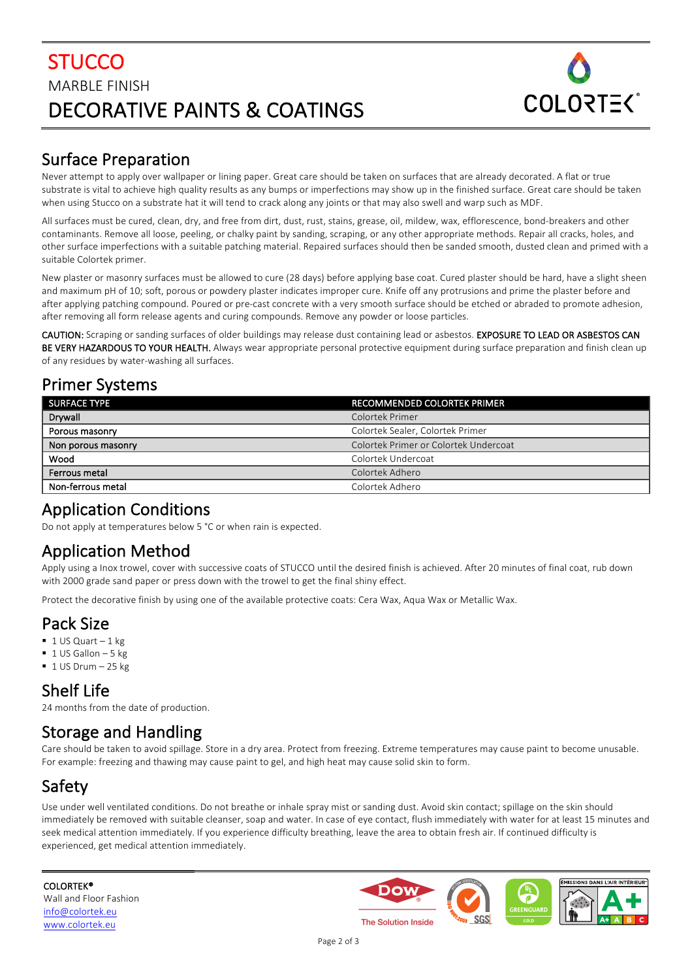# **STUCCO MARBLE FINISH** DECORATIVE PAINTS & COATINGS



# Surface Preparation

Never attempt to apply over wallpaper or lining paper. Great care should be taken on surfaces that are already decorated. A flat or true substrate is vital to achieve high quality results as any bumps or imperfections may show up in the finished surface. Great care should be taken when using Stucco on a substrate hat it will tend to crack along any joints or that may also swell and warp such as MDF.

All surfaces must be cured, clean, dry, and free from dirt, dust, rust, stains, grease, oil, mildew, wax, efflorescence, bond-breakers and other contaminants. Remove all loose, peeling, or chalky paint by sanding, scraping, or any other appropriate methods. Repair all cracks, holes, and other surface imperfections with a suitable patching material. Repaired surfaces should then be sanded smooth, dusted clean and primed with a suitable Colortek primer.

New plaster or masonry surfaces must be allowed to cure (28 days) before applying base coat. Cured plaster should be hard, have a slight sheen and maximum pH of 10; soft, porous or powdery plaster indicates improper cure. Knife off any protrusions and prime the plaster before and after applying patching compound. Poured or pre-cast concrete with a very smooth surface should be etched or abraded to promote adhesion, after removing all form release agents and curing compounds. Remove any powder or loose particles.

CAUTION: Scraping or sanding surfaces of older buildings may release dust containing lead or asbestos. EXPOSURE TO LEAD OR ASBESTOS CAN BE VERY HAZARDOUS TO YOUR HEALTH. Always wear appropriate personal protective equipment during surface preparation and finish clean up of any residues by water-washing all surfaces.

### Primer Systems

| <b>SURFACE TYPE</b> | <b>RECOMMENDED COLORTEK PRIMER</b>    |
|---------------------|---------------------------------------|
| Drywall             | Colortek Primer                       |
| Porous masonry      | Colortek Sealer, Colortek Primer      |
| Non porous masonry  | Colortek Primer or Colortek Undercoat |
| Wood                | Colortek Undercoat                    |
| Ferrous metal       | Colortek Adhero                       |
| Non-ferrous metal   | Colortek Adhero                       |

#### Application Conditions

Do not apply at temperatures below 5 °C or when rain is expected.

### Application Method

Apply using a lnox trowel, cover with successive coats of STUCCO until the desired finish is achieved. After 20 minutes of final coat, rub down with 2000 grade sand paper or press down with the trowel to get the final shiny effect.

Protect the decorative finish by using one of the available protective coats: Cera Wax, Aqua Wax or Metallic Wax.

# Pack Size

- $\blacksquare$  1 US Quart 1 kg
- $\blacksquare$  1 US Gallon 5 kg
- $\blacksquare$  1 US Drum 25 kg

# Shelf Life

24 months from the date of production.

# Storage and Handling

Care should be taken to avoid spillage. Store in a dry area. Protect from freezing. Extreme temperatures may cause paint to become unusable. For example: freezing and thawing may cause paint to gel, and high heat may cause solid skin to form.

# Safety

Use under well ventilated conditions. Do not breathe or inhale spray mist or sanding dust. Avoid skin contact; spillage on the skin should immediately be removed with suitable cleanser, soap and water. In case of eye contact, flush immediately with water for at least 15 minutes and seek medical attention immediately. If you experience difficulty breathing, leave the area to obtain fresh air. If continued difficulty is experienced, get medical attention immediately.

COLORTEK® Wall and Floor Fashion info@colortek.eu www.colortek.eu